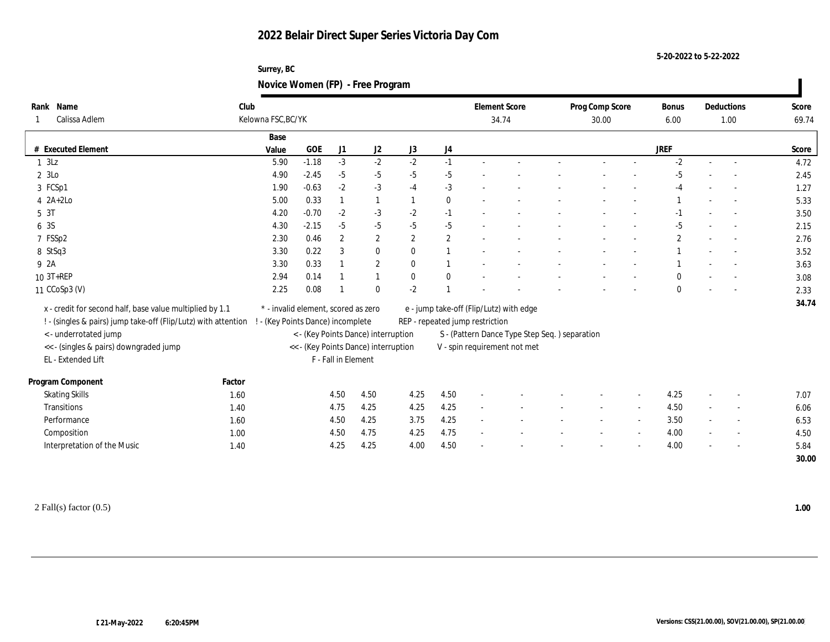**Surrey, BC Novice Women (FP) - Free Program**

| Rank Name                                                      | Club   |                                     |                                      |                     |                  |              |                | <b>Element Score</b>            |                                               | Prog Comp Score | <b>Bonus</b> |        | Deductions               | Score |
|----------------------------------------------------------------|--------|-------------------------------------|--------------------------------------|---------------------|------------------|--------------|----------------|---------------------------------|-----------------------------------------------|-----------------|--------------|--------|--------------------------|-------|
| Calissa Adlem                                                  |        | Kelowna FSC, BC/YK                  |                                      |                     |                  |              |                |                                 | 34.74                                         | 30.00           | 6.00         |        | 1.00                     | 69.74 |
|                                                                |        | Base                                |                                      |                     |                  |              |                |                                 |                                               |                 |              |        |                          |       |
| # Executed Element                                             |        | Value                               | GOE                                  | J1                  | $\mathrm{J}2$    | J3           | J4             |                                 |                                               |                 | <b>JREF</b>  |        |                          | Score |
| $1 \t3Lz$                                                      |        | 5.90                                | $-1.18$                              | $-3$                | $-2$             | $-2$         | $-1$           |                                 |                                               |                 | $-2$         | $\sim$ |                          | 4.72  |
| 2 3Lo                                                          |        | 4.90                                | $-2.45$                              | $-5$                | $-5$             | $-5$         | $-5$           |                                 |                                               |                 | $-5$         |        |                          | 2.45  |
| 3 FCSp1                                                        |        | 1.90                                | $-0.63$                              | $-2$                | $-3$             | $-4$         | $-3$           |                                 |                                               |                 | $-4$         |        |                          | 1.27  |
| $4$ $2A+2Lo$                                                   |        | 5.00                                | 0.33                                 |                     | $\mathbf{1}$     |              | $\bf{0}$       |                                 |                                               |                 |              |        |                          | 5.33  |
| 5 3T                                                           |        | 4.20                                | $-0.70$                              | $-2$                | $-3$             | $-2$         | $-1$           |                                 |                                               |                 | $-1$         |        |                          | 3.50  |
| 6 3S                                                           |        | 4.30                                | $-2.15$                              | $-5$                | $-5$             | $-5$         | $-5$           |                                 |                                               |                 | $-5$         |        |                          | 2.15  |
| 7 FSSp2                                                        |        | 2.30                                | 0.46                                 | $\overline{2}$      | $\mathbf{2}$     | $\mathbf{2}$ | $\mathbf{2}$   |                                 |                                               |                 | $\mathbf{2}$ |        |                          | 2.76  |
| 8 StSq3                                                        |        | 3.30                                | 0.22                                 | 3                   | $\bf{0}$         | $\mathbf{0}$ | $\overline{1}$ |                                 |                                               |                 |              |        |                          | 3.52  |
| 9 2A                                                           |        | 3.30                                | 0.33                                 |                     | $\boldsymbol{2}$ | $\theta$     | $\overline{1}$ |                                 |                                               |                 |              |        | $\sim$                   | 3.63  |
| 10 3T+REP                                                      |        | 2.94                                | 0.14                                 |                     |                  | $\mathbf{0}$ | $\mathbf{0}$   |                                 |                                               |                 |              |        |                          | 3.08  |
| 11 CCoSp3 (V)                                                  |        | 2.25                                | 0.08                                 |                     | $\mathbf{0}$     | $-2$         |                |                                 |                                               |                 | $\mathbf{0}$ |        |                          | 2.33  |
| x - credit for second half, base value multiplied by 1.1       |        | * - invalid element, scored as zero |                                      |                     |                  |              |                |                                 | e - jump take-off (Flip/Lutz) with edge       |                 |              |        |                          | 34.74 |
| ! - (singles & pairs) jump take-off (Flip/Lutz) with attention |        | - (Key Points Dance) incomplete     |                                      |                     |                  |              |                | REP - repeated jump restriction |                                               |                 |              |        |                          |       |
| <- underrotated jump                                           |        |                                     | < - (Key Points Dance) interruption  |                     |                  |              |                |                                 | S - (Pattern Dance Type Step Seq.) separation |                 |              |        |                          |       |
| << - (singles & pairs) downgraded jump                         |        |                                     | << - (Key Points Dance) interruption |                     |                  |              |                |                                 | V - spin requirement not met                  |                 |              |        |                          |       |
| EL - Extended Lift                                             |        |                                     |                                      | F - Fall in Element |                  |              |                |                                 |                                               |                 |              |        |                          |       |
|                                                                |        |                                     |                                      |                     |                  |              |                |                                 |                                               |                 |              |        |                          |       |
| Program Component                                              | Factor |                                     |                                      |                     |                  |              |                |                                 |                                               |                 |              |        |                          |       |
| <b>Skating Skills</b>                                          | 1.60   |                                     |                                      | 4.50                | 4.50             | 4.25         | 4.50           |                                 |                                               |                 | 4.25         | $\sim$ |                          | 7.07  |
| <b>Transitions</b>                                             | 1.40   |                                     |                                      | 4.75                | 4.25             | 4.25         | 4.25           |                                 |                                               |                 | 4.50         |        | $\sim$                   | 6.06  |
| Performance                                                    | 1.60   |                                     |                                      | 4.50                | 4.25             | 3.75         | 4.25           | $\sim$                          |                                               |                 | 3.50         | $\sim$ | $\overline{a}$           | 6.53  |
| Composition                                                    | 1.00   |                                     |                                      | 4.50                | 4.75             | 4.25         | 4.75           | $\sim$                          |                                               |                 | 4.00         |        | $\overline{\phantom{a}}$ | 4.50  |
| Interpretation of the Music                                    | 1.40   |                                     |                                      | 4.25                | 4.25             | 4.00         | 4.50           |                                 |                                               |                 | 4.00         |        |                          | 5.84  |
|                                                                |        |                                     |                                      |                     |                  |              |                |                                 |                                               |                 |              |        |                          | 30.00 |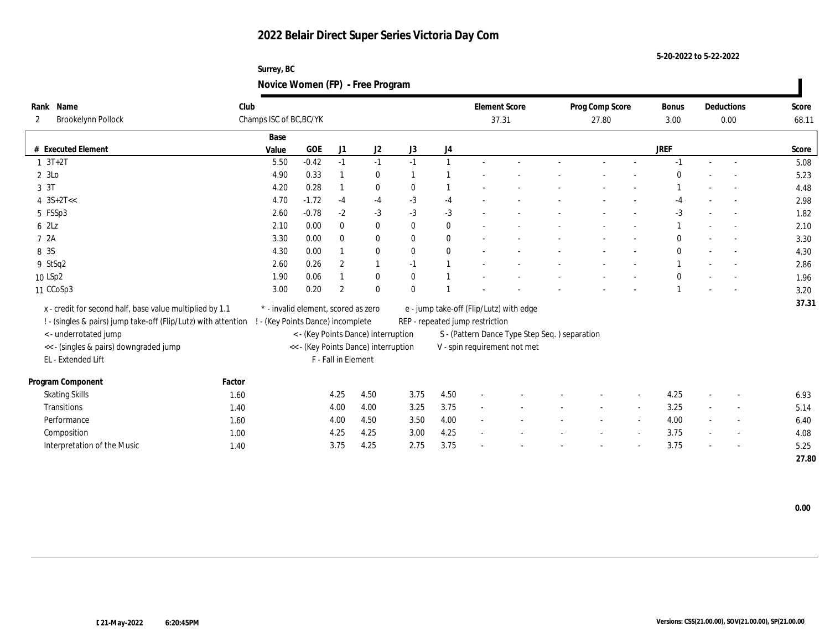**Surrey, BC Novice Women (FP) - Free Program**

| Name<br>Rank          |                                                                | Club                              |                                     |                     |                                      |              |          | <b>Element Score</b>                    |                                               | Prog Comp Score | <b>Bonus</b> |        | Deductions               | Score |
|-----------------------|----------------------------------------------------------------|-----------------------------------|-------------------------------------|---------------------|--------------------------------------|--------------|----------|-----------------------------------------|-----------------------------------------------|-----------------|--------------|--------|--------------------------|-------|
| $\mathbf{2}$          | <b>Brookelynn Pollock</b>                                      | Champs ISC of BC, BC/YK           |                                     |                     |                                      |              |          | 37.31                                   |                                               | 27.80           | 3.00         |        | 0.00                     | 68.11 |
|                       |                                                                | Base                              |                                     |                     |                                      |              |          |                                         |                                               |                 |              |        |                          |       |
| # Executed Element    |                                                                | Value                             | <b>GOE</b>                          | J <sub>1</sub>      | J2                                   | J3           | J4       |                                         |                                               |                 | <b>JREF</b>  |        |                          | Score |
| $1 \t3T+2T$           |                                                                | 5.50                              | $-0.42$                             | $-1$                | $-1$                                 | $-1$         |          |                                         |                                               |                 |              |        |                          | 5.08  |
| 2 3Lo                 |                                                                | 4.90                              | 0.33                                |                     | $\bf{0}$                             |              |          |                                         |                                               |                 |              |        |                          | 5.23  |
| 3 3T                  |                                                                | 4.20                              | 0.28                                |                     | $\bf{0}$                             | $\theta$     |          |                                         |                                               |                 |              |        |                          | 4.48  |
| $4 \text{ } 3S+2T<<$  |                                                                | 4.70                              | $-1.72$                             | $-4$                | $-4$                                 | $-3$         | $-4$     |                                         |                                               |                 | -4           |        |                          | 2.98  |
| 5 FSSp3               |                                                                | 2.60                              | $-0.78$                             | $-2$                | $-3$                                 | $-3$         | $-3$     |                                         |                                               |                 | $-3$         |        |                          | 1.82  |
| 6 2Lz                 |                                                                | 2.10                              | 0.00                                | $\mathbf{0}$        | $\bf{0}$                             | $\mathbf{0}$ | $\bf{0}$ |                                         |                                               |                 |              |        |                          | 2.10  |
| 7 2A                  |                                                                | 3.30                              | 0.00                                | $\bf{0}$            | $\bf{0}$                             | $\mathbf{0}$ | $\bf{0}$ |                                         |                                               |                 |              |        |                          | 3.30  |
| 8 3S                  |                                                                | 4.30                              | 0.00                                |                     | $\bf{0}$                             | $\mathbf{0}$ | $\bf{0}$ |                                         |                                               |                 | $\mathbf{0}$ |        |                          | 4.30  |
| 9 StSq2               |                                                                | 2.60                              | 0.26                                | $\boldsymbol{2}$    | 1                                    | $-1$         |          |                                         |                                               |                 |              |        |                          | 2.86  |
| 10 LSp2               |                                                                | 1.90                              | 0.06                                |                     | $\bf{0}$                             | $\mathbf{0}$ |          |                                         |                                               |                 |              |        |                          | 1.96  |
| 11 CCoSp3             |                                                                | 3.00                              | 0.20                                | $\overline{2}$      | $\bf{0}$                             | $\mathbf{0}$ |          |                                         |                                               |                 |              |        |                          | 3.20  |
|                       | x - credit for second half, base value multiplied by 1.1       |                                   | * - invalid element, scored as zero |                     |                                      |              |          | e - jump take-off (Flip/Lutz) with edge |                                               |                 |              |        |                          | 37.31 |
|                       | ! - (singles & pairs) jump take-off (Flip/Lutz) with attention | ! - (Key Points Dance) incomplete |                                     |                     |                                      |              |          | REP - repeated jump restriction         |                                               |                 |              |        |                          |       |
| <- underrotated jump  |                                                                |                                   |                                     |                     | < - (Key Points Dance) interruption  |              |          |                                         | S - (Pattern Dance Type Step Seq.) separation |                 |              |        |                          |       |
|                       | << - (singles & pairs) downgraded jump                         |                                   |                                     |                     | << - (Key Points Dance) interruption |              |          |                                         | V - spin requirement not met                  |                 |              |        |                          |       |
| EL - Extended Lift    |                                                                |                                   |                                     | F - Fall in Element |                                      |              |          |                                         |                                               |                 |              |        |                          |       |
|                       |                                                                |                                   |                                     |                     |                                      |              |          |                                         |                                               |                 |              |        |                          |       |
| Program Component     |                                                                | Factor                            |                                     |                     |                                      |              |          |                                         |                                               |                 |              |        |                          |       |
| <b>Skating Skills</b> |                                                                | 1.60                              |                                     | 4.25                | 4.50                                 | 3.75         | 4.50     |                                         |                                               |                 | 4.25         | $\sim$ |                          | 6.93  |
| Transitions           |                                                                | 1.40                              |                                     | 4.00                | 4.00                                 | 3.25         | 3.75     | $\sim$                                  |                                               |                 | 3.25         |        |                          | 5.14  |
| Performance           |                                                                | 1.60                              |                                     | 4.00                | 4.50                                 | 3.50         | 4.00     | $\sim$                                  |                                               |                 | 4.00         | $\sim$ | $\sim$                   | 6.40  |
| Composition           |                                                                | 1.00                              |                                     | 4.25                | 4.25                                 | 3.00         | 4.25     | $\sim$                                  |                                               |                 | 3.75         | $\sim$ | $\overline{\phantom{a}}$ | 4.08  |
|                       | Interpretation of the Music                                    | 1.40                              |                                     | 3.75                | 4.25                                 | 2.75         | 3.75     |                                         |                                               |                 | 3.75         |        |                          | 5.25  |
|                       |                                                                |                                   |                                     |                     |                                      |              |          |                                         |                                               |                 |              |        |                          | 27.80 |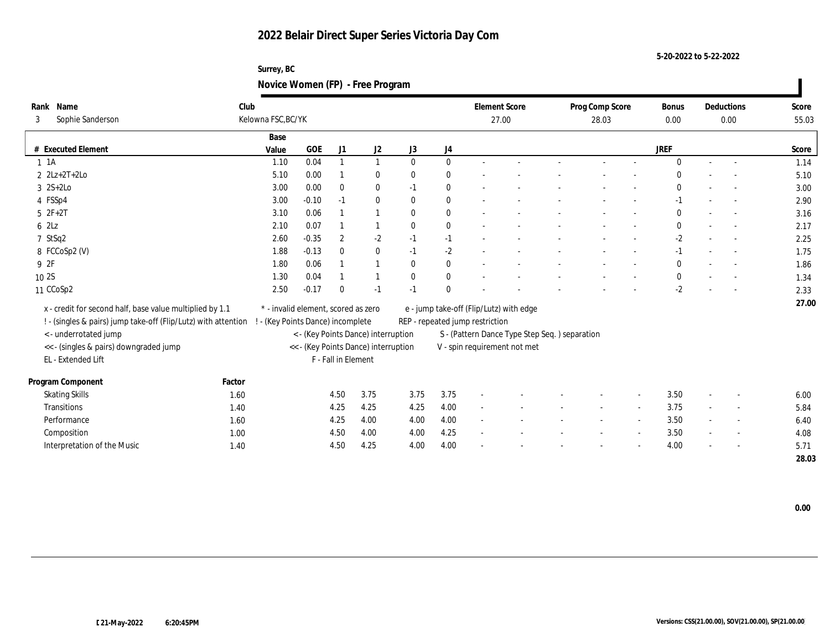| Surrey, BC                       |  |
|----------------------------------|--|
| Novice Women (FP) - Free Program |  |

| Rank Name<br>Sophie Sanderson<br>3                             | Club   | Kelowna FSC, BC/YK                  |         |                     |                                      |              |          | <b>Element Score</b><br>27.00           |                                               | Prog Comp Score<br>28.03 |        | <b>Bonus</b><br>0.00 |        | Deductions<br>0.00       | Score<br>55.03 |
|----------------------------------------------------------------|--------|-------------------------------------|---------|---------------------|--------------------------------------|--------------|----------|-----------------------------------------|-----------------------------------------------|--------------------------|--------|----------------------|--------|--------------------------|----------------|
|                                                                |        | Base                                |         |                     |                                      |              |          |                                         |                                               |                          |        |                      |        |                          |                |
| # Executed Element                                             |        | Value                               | GOE     | J1                  | J2                                   | J3           | J4       |                                         |                                               |                          |        | <b>JREF</b>          |        |                          | Score          |
| $1 \t1A$                                                       |        | 1.10                                | 0.04    |                     | $\mathbf{1}$                         | $\mathbf{0}$ | $\bf{0}$ |                                         |                                               |                          |        | $\mathbf{0}$         |        |                          | 1.14           |
| $2 \text{ } 2Lz + 2T + 2Lo$                                    |        | 5.10                                | 0.00    |                     | $\bf{0}$                             | $\bf{0}$     | $\bf{0}$ |                                         |                                               |                          |        | $\mathbf{0}$         |        |                          | 5.10           |
| $3 \quad 2S+2Lo$                                               |        | 3.00                                | 0.00    | $\bf{0}$            | $\bf{0}$                             | $-1$         | $\bf{0}$ |                                         |                                               |                          |        | $\mathbf{0}$         |        |                          | 3.00           |
| 4 FSSp4                                                        |        | 3.00                                | $-0.10$ | $-1$                | $\bf{0}$                             | $\bf{0}$     | $\bf{0}$ |                                         |                                               |                          |        | $-1$                 |        |                          | 2.90           |
| $5 2F+2T$                                                      |        | 3.10                                | 0.06    |                     | 1                                    | $\mathbf{0}$ | $\bf{0}$ |                                         |                                               |                          |        | $\mathbf{0}$         |        |                          | 3.16           |
| 62Lz                                                           |        | 2.10                                | 0.07    |                     |                                      | $\mathbf{0}$ | $\bf{0}$ |                                         |                                               |                          |        | $\bf{0}$             |        | $\overline{\phantom{a}}$ | 2.17           |
| 7 StSq2                                                        |        | 2.60                                | $-0.35$ | $\overline{2}$      | $-2$                                 | $-1$         | $-1$     |                                         |                                               |                          |        | -2                   |        |                          | 2.25           |
| 8 FCCoSp2 (V)                                                  |        | 1.88                                | $-0.13$ | $\mathbf{0}$        | $\bf{0}$                             | $-1$         | $-2$     |                                         |                                               |                          |        | $-1$                 |        |                          | 1.75           |
| 9 2F                                                           |        | 1.80                                | 0.06    |                     | $\mathbf{1}$                         | $\mathbf{0}$ | $\bf{0}$ |                                         |                                               |                          |        | $\mathbf{0}$         |        |                          | 1.86           |
| 10 2S                                                          |        | 1.30                                | 0.04    |                     |                                      | $\bf{0}$     | $\bf{0}$ |                                         |                                               |                          |        | $\mathbf{0}$         |        |                          | 1.34           |
| 11 CCoSp2                                                      |        | 2.50                                | $-0.17$ | $\Omega$            | $-1$                                 | $-1$         | $\bf{0}$ |                                         |                                               |                          |        | $-2$                 |        |                          | 2.33           |
| x - credit for second half, base value multiplied by 1.1       |        | * - invalid element, scored as zero |         |                     |                                      |              |          | e - jump take-off (Flip/Lutz) with edge |                                               |                          |        |                      |        |                          | 27.00          |
| ! - (singles & pairs) jump take-off (Flip/Lutz) with attention |        | ! - (Key Points Dance) incomplete   |         |                     |                                      |              |          | REP - repeated jump restriction         |                                               |                          |        |                      |        |                          |                |
| <- underrotated jump                                           |        |                                     |         |                     | < - (Key Points Dance) interruption  |              |          |                                         | S - (Pattern Dance Type Step Seq.) separation |                          |        |                      |        |                          |                |
| << - (singles & pairs) downgraded jump                         |        |                                     |         |                     | << - (Key Points Dance) interruption |              |          |                                         | V - spin requirement not met                  |                          |        |                      |        |                          |                |
| EL - Extended Lift                                             |        |                                     |         | F - Fall in Element |                                      |              |          |                                         |                                               |                          |        |                      |        |                          |                |
|                                                                |        |                                     |         |                     |                                      |              |          |                                         |                                               |                          |        |                      |        |                          |                |
| Program Component                                              | Factor |                                     |         |                     |                                      |              |          |                                         |                                               |                          |        |                      |        |                          |                |
| <b>Skating Skills</b>                                          | 1.60   |                                     |         | 4.50                | 3.75                                 | 3.75         | 3.75     |                                         |                                               |                          |        | 3.50                 |        |                          | 6.00           |
| Transitions                                                    | 1.40   |                                     |         | 4.25                | 4.25                                 | 4.25         | 4.00     | $\sim$                                  |                                               |                          |        | 3.75                 | $\sim$ | $\overline{\phantom{a}}$ | 5.84           |
| Performance                                                    | 1.60   |                                     |         | 4.25                | 4.00                                 | 4.00         | 4.00     | $\sim$                                  |                                               |                          | $\sim$ | 3.50                 |        | $\overline{\phantom{a}}$ | 6.40           |
| Composition                                                    | 1.00   |                                     |         | 4.50                | 4.00                                 | 4.00         | 4.25     |                                         |                                               |                          |        | 3.50                 |        | $\overline{\phantom{a}}$ | 4.08           |
| Interpretation of the Music                                    | 1.40   |                                     |         | 4.50                | 4.25                                 | 4.00         | 4.00     |                                         |                                               |                          |        | 4.00                 |        |                          | 5.71           |
|                                                                |        |                                     |         |                     |                                      |              |          |                                         |                                               |                          |        |                      |        |                          | 28.03          |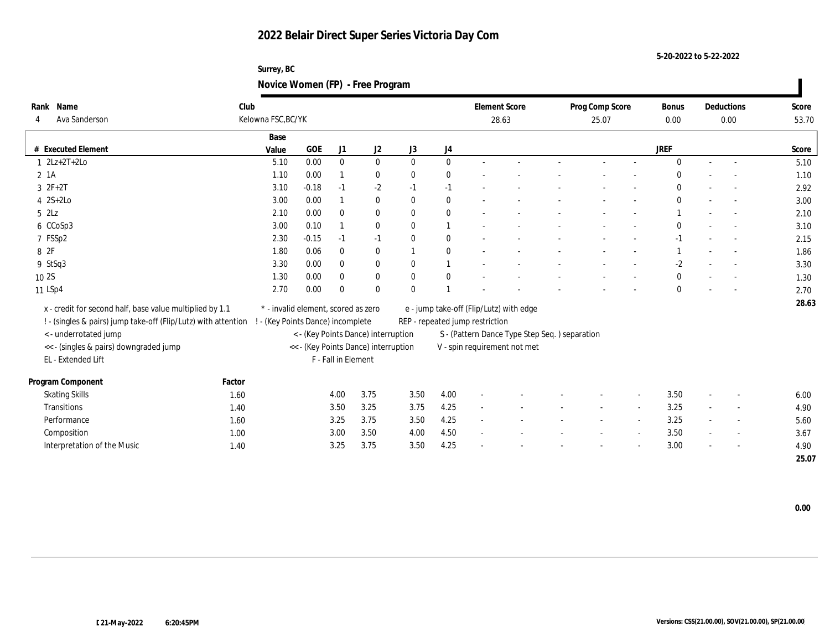**Surrey, BC Novice Women (FP) - Free Program**

| Rank Name                                                      | Club   |                                     |         |                     |                                      |              |                |                                 | <b>Element Score</b>                          | Prog Comp Score |        | Bonus        |                          | Deductions               | Score |
|----------------------------------------------------------------|--------|-------------------------------------|---------|---------------------|--------------------------------------|--------------|----------------|---------------------------------|-----------------------------------------------|-----------------|--------|--------------|--------------------------|--------------------------|-------|
| Ava Sanderson<br>4                                             |        | Kelowna FSC, BC/YK                  |         |                     |                                      |              |                |                                 | 28.63                                         | 25.07           |        | 0.00         |                          | 0.00                     | 53.70 |
|                                                                |        | Base                                |         |                     |                                      |              |                |                                 |                                               |                 |        |              |                          |                          |       |
| # Executed Element                                             |        | Value                               | GOE     | J1                  | J2                                   | J3           | J4             |                                 |                                               |                 |        | <b>JREF</b>  |                          |                          | Score |
| $1 \quad 2Lz + 2T + 2Lo$                                       |        | 5.10                                | 0.00    | $\mathbf{0}$        | $\bf{0}$                             | $\mathbf{0}$ | $\mathbf{0}$   |                                 |                                               |                 |        | $\mathbf{0}$ | $\sim$                   | $\overline{\phantom{a}}$ | 5.10  |
| $2$ 1A                                                         |        | 1.10                                | 0.00    |                     | $\bf{0}$                             | $\bf{0}$     | $\mathbf{0}$   |                                 |                                               |                 |        |              |                          |                          | 1.10  |
| $3 2F+2T$                                                      |        | 3.10                                | $-0.18$ | $-1$                | $-2$                                 | $-1$         | $-1$           |                                 |                                               |                 |        | $\theta$     |                          |                          | 2.92  |
| $4$ 2S+2Lo                                                     |        | 3.00                                | 0.00    |                     | $\bf{0}$                             | $\mathbf{0}$ | $\mathbf{0}$   |                                 |                                               |                 |        | $\mathbf{0}$ |                          |                          | 3.00  |
| $5$ $2\text{L}z$                                               |        | 2.10                                | 0.00    | $\bf{0}$            | $\bf{0}$                             | $\mathbf{0}$ | $\mathbf{0}$   |                                 |                                               |                 |        |              |                          |                          | 2.10  |
| 6 CCoSp3                                                       |        | 3.00                                | 0.10    |                     | $\bf{0}$                             | $\mathbf{0}$ | $\mathbf{1}$   |                                 |                                               |                 |        | $\theta$     |                          |                          | 3.10  |
| 7 FSSp2                                                        |        | 2.30                                | $-0.15$ | $-1$                | $-1$                                 | $\bf{0}$     | $\mathbf{0}$   |                                 |                                               |                 |        | $-1$         |                          |                          | 2.15  |
| 8 2F                                                           |        | 1.80                                | 0.06    | $\bf{0}$            | $\bf{0}$                             |              | $\mathbf{0}$   |                                 |                                               |                 |        |              |                          |                          | 1.86  |
| 9 StSq3                                                        |        | 3.30                                | 0.00    | $\bf{0}$            | $\bf{0}$                             | $\bf{0}$     | $\overline{1}$ |                                 |                                               |                 |        | $-2$         |                          | $\overline{\phantom{a}}$ | 3.30  |
| 10 2S                                                          |        | 1.30                                | 0.00    | $\mathbf{0}$        | $\boldsymbol{0}$                     | $\mathbf{0}$ | $\mathbf{0}$   |                                 |                                               |                 |        | $\bf{0}$     |                          |                          | 1.30  |
| 11 LSp4                                                        |        | 2.70                                | 0.00    | $\theta$            | $\theta$                             | $\mathbf{0}$ | $\overline{1}$ |                                 |                                               |                 |        | $\mathbf{0}$ |                          |                          | 2.70  |
| x - credit for second half, base value multiplied by 1.1       |        | * - invalid element, scored as zero |         |                     |                                      |              |                |                                 | e - jump take-off (Flip/Lutz) with edge       |                 |        |              |                          |                          | 28.63 |
| ! - (singles & pairs) jump take-off (Flip/Lutz) with attention |        | ! - (Key Points Dance) incomplete   |         |                     |                                      |              |                | REP - repeated jump restriction |                                               |                 |        |              |                          |                          |       |
| <- underrotated jump                                           |        |                                     |         |                     | < - (Key Points Dance) interruption  |              |                |                                 | S - (Pattern Dance Type Step Seq.) separation |                 |        |              |                          |                          |       |
| << - (singles & pairs) downgraded jump                         |        |                                     |         |                     | << - (Key Points Dance) interruption |              |                |                                 | V - spin requirement not met                  |                 |        |              |                          |                          |       |
| EL - Extended Lift                                             |        |                                     |         | F - Fall in Element |                                      |              |                |                                 |                                               |                 |        |              |                          |                          |       |
|                                                                |        |                                     |         |                     |                                      |              |                |                                 |                                               |                 |        |              |                          |                          |       |
| Program Component                                              | Factor |                                     |         |                     |                                      |              |                |                                 |                                               |                 |        |              |                          |                          |       |
| <b>Skating Skills</b>                                          | 1.60   |                                     |         | 4.00                | 3.75                                 | 3.50         | 4.00           | $\overline{\phantom{a}}$        |                                               |                 |        | 3.50         | $\sim$                   | $\overline{a}$           | 6.00  |
| Transitions                                                    | 1.40   |                                     |         | 3.50                | 3.25                                 | 3.75         | 4.25           | $\sim$                          |                                               |                 |        | 3.25         |                          | $\sim$                   | 4.90  |
| Performance                                                    | 1.60   |                                     |         | 3.25                | 3.75                                 | 3.50         | 4.25           | $\sim$                          |                                               |                 | $\sim$ | 3.25         | $\overline{\phantom{a}}$ | $\overline{\phantom{a}}$ | 5.60  |
| Composition                                                    | 1.00   |                                     |         | 3.00                | 3.50                                 | 4.00         | 4.50           | $\sim$                          |                                               |                 |        | 3.50         |                          | $\overline{\phantom{a}}$ | 3.67  |
| Interpretation of the Music                                    | 1.40   |                                     |         | 3.25                | 3.75                                 | 3.50         | 4.25           |                                 |                                               |                 |        | 3.00         |                          |                          | 4.90  |
|                                                                |        |                                     |         |                     |                                      |              |                |                                 |                                               |                 |        |              |                          |                          | 25.07 |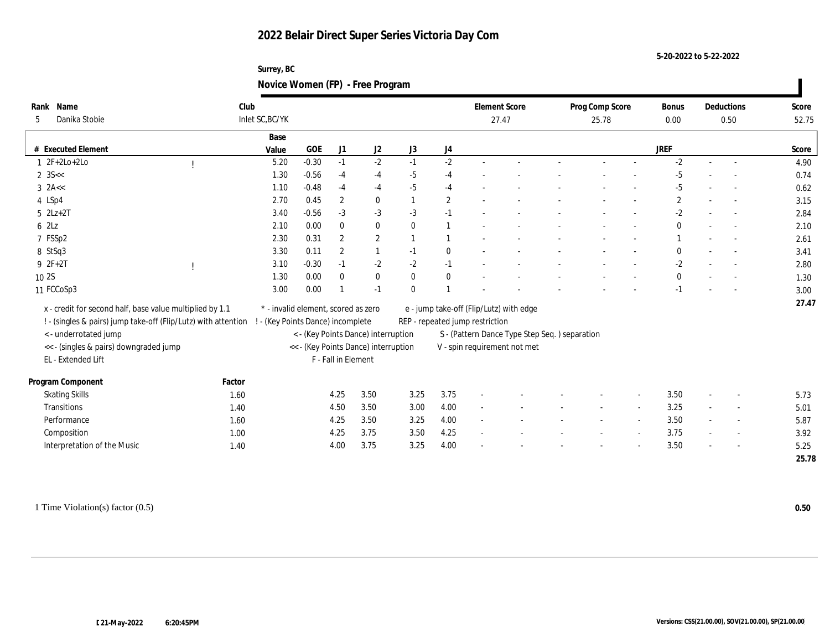**5-20-2022 to 5-22-2022**

| Surrey, BC                       |  |
|----------------------------------|--|
| Novice Women (FP) - Free Program |  |

| Rank Name<br>Danika Stobie<br>5                                | Club<br>Inlet SC, BC/YK |                                      |                     |                  |                |                  | <b>Element Score</b><br>27.47   |                                               | Prog Comp Score<br>25.78 | <b>Bonus</b><br>0.00 |        | Deductions<br>0.50 | Score<br>52.75 |
|----------------------------------------------------------------|-------------------------|--------------------------------------|---------------------|------------------|----------------|------------------|---------------------------------|-----------------------------------------------|--------------------------|----------------------|--------|--------------------|----------------|
|                                                                | Base                    |                                      |                     |                  |                |                  |                                 |                                               |                          |                      |        |                    |                |
| # Executed Element                                             | Value                   | GOE                                  | J1                  | J2               | J3             | $_{\mathrm{J}4}$ |                                 |                                               |                          | <b>JREF</b>          |        |                    | Score          |
| $1 2F+2Lo+2Lo$                                                 | 5.20                    | $-0.30$                              | $-1$                | $-2$             | $-1$           | $-2$             |                                 |                                               |                          | $-2$                 |        |                    | 4.90           |
| $2 \, 35 <$                                                    | 1.30                    | $-0.56$                              | $-4$                | $-4$             | $-5$           | $-4$             |                                 |                                               |                          | $-5$                 |        |                    | 0.74           |
| $3$ 2A $\lt$                                                   | 1.10                    | $-0.48$                              | $-4$                | $-4$             | $-5$           | $-4$             |                                 |                                               |                          | $-5$                 |        |                    | 0.62           |
| 4 LSp4                                                         | 2.70                    | 0.45                                 | $\boldsymbol{2}$    | $\bf{0}$         | $\overline{1}$ | $\mathbf{2}$     |                                 |                                               |                          | $\mathbf{2}$         |        |                    | 3.15           |
| $5$ $2Lz+2T$                                                   | 3.40                    | $-0.56$                              | $-3$                | $-3$             | $-3$           | $-1$             |                                 |                                               |                          | $-2$                 |        |                    | 2.84           |
| 62Lz                                                           | 2.10                    | 0.00                                 | $\mathbf{0}$        | $\bf{0}$         | $\mathbf{0}$   |                  |                                 |                                               |                          | $\bf{0}$             |        |                    | 2.10           |
| 7 FSSp2                                                        | 2.30                    | 0.31                                 | $\boldsymbol{2}$    | $\boldsymbol{2}$ |                |                  |                                 |                                               |                          |                      |        |                    | 2.61           |
| 8 StSq3                                                        | 3.30                    | 0.11                                 | $\mathbf{2}$        |                  | $-1$           | $\bf{0}$         |                                 |                                               |                          | $\bf{0}$             |        |                    | 3.41           |
| $92F+2T$                                                       | 3.10                    | $-0.30$                              | $-1$                | $-2$             | $-2$           | $-1$             |                                 |                                               |                          | $-2$                 |        |                    | 2.80           |
| 10 2S                                                          | 1.30                    | 0.00                                 | $\theta$            | $\bf{0}$         | $\bf{0}$       | $\bf{0}$         |                                 |                                               |                          | $\mathbf{0}$         |        |                    | 1.30           |
| 11 FCCoSp3                                                     | 3.00                    | 0.00                                 |                     | $-1$             | $\mathbf{0}$   |                  |                                 |                                               |                          |                      |        |                    | 3.00           |
| x - credit for second half, base value multiplied by 1.1       |                         | * - invalid element, scored as zero  |                     |                  |                |                  |                                 | e - jump take-off (Flip/Lutz) with edge       |                          |                      |        |                    | 27.47          |
| ! - (singles & pairs) jump take-off (Flip/Lutz) with attention |                         | ! - (Key Points Dance) incomplete    |                     |                  |                |                  | REP - repeated jump restriction |                                               |                          |                      |        |                    |                |
| < - underrotated jump                                          |                         | < - (Key Points Dance) interruption  |                     |                  |                |                  |                                 | S - (Pattern Dance Type Step Seq.) separation |                          |                      |        |                    |                |
| << - (singles & pairs) downgraded jump                         |                         | << - (Key Points Dance) interruption |                     |                  |                |                  |                                 | V - spin requirement not met                  |                          |                      |        |                    |                |
| EL - Extended Lift                                             |                         |                                      | F - Fall in Element |                  |                |                  |                                 |                                               |                          |                      |        |                    |                |
|                                                                |                         |                                      |                     |                  |                |                  |                                 |                                               |                          |                      |        |                    |                |
| Program Component                                              | Factor                  |                                      |                     |                  |                |                  |                                 |                                               |                          |                      |        |                    |                |
| <b>Skating Skills</b>                                          | 1.60                    |                                      | 4.25                | 3.50             | 3.25           | 3.75             |                                 |                                               |                          | 3.50                 |        |                    | 5.73           |
| Transitions                                                    | 1.40                    |                                      | 4.50                | 3.50             | 3.00           | 4.00             |                                 |                                               |                          | 3.25                 |        |                    | 5.01           |
| Performance                                                    | 1.60                    |                                      | 4.25                | 3.50             | 3.25           | 4.00             | $\sim$                          |                                               |                          | 3.50                 | $\sim$ | $\sim$             | 5.87           |
| Composition                                                    | 1.00                    |                                      | 4.25                | 3.75             | 3.50           | 4.25             |                                 |                                               |                          | 3.75                 |        |                    | 3.92           |
| Interpretation of the Music                                    | 1.40                    |                                      | 4.00                | 3.75             | 3.25           | 4.00             |                                 |                                               |                          | 3.50                 |        |                    | 5.25           |
|                                                                |                         |                                      |                     |                  |                |                  |                                 |                                               |                          |                      |        |                    | 25.78          |

1 Time Violation(s) factor (0.5) **0.50**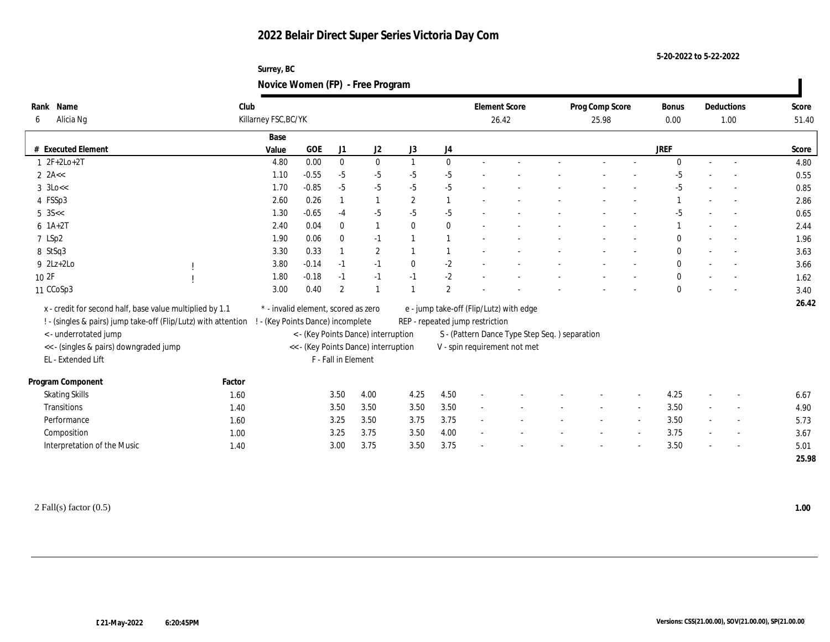**Surrey, BC Novice Women (FP) - Free Program**

| Name<br>Rank<br>Alicia Ng<br>6                                 | Club<br>Killarney FSC, BC/YK |       |                                     |                     |                                      |                |                | <b>Element Score</b>            | 26.42                                         | Prog Comp Score<br>25.98 | <b>Bonus</b><br>0.00 |        | Deductions<br>1.00       | Score<br>51.40 |
|----------------------------------------------------------------|------------------------------|-------|-------------------------------------|---------------------|--------------------------------------|----------------|----------------|---------------------------------|-----------------------------------------------|--------------------------|----------------------|--------|--------------------------|----------------|
|                                                                |                              | Base  |                                     |                     |                                      |                |                |                                 |                                               |                          |                      |        |                          |                |
| # Executed Element                                             |                              | Value | <b>GOE</b>                          | J1                  | J2                                   | J3             | J4             |                                 |                                               |                          | <b>JREF</b>          |        |                          | Score          |
| $1 2F+2Lo+2T$                                                  |                              | 4.80  | 0.00                                | $\mathbf{0}$        | $\bf{0}$                             | $\overline{1}$ | $\mathbf{0}$   |                                 |                                               |                          | $\Omega$             | $\sim$ | $\sim$                   | 4.80           |
| $2$ 2A <<                                                      |                              | 1.10  | $-0.55$                             | $-5$                | $-5$                                 | $-5$           | $-5$           |                                 |                                               |                          | $-5$                 |        |                          | 0.55           |
| $3 \text{ o} <<$                                               |                              | 1.70  | $-0.85$                             | $-5$                | $-5$                                 | $-5$           | $-5$           |                                 |                                               |                          | $-5$                 |        |                          | 0.85           |
| 4 FSSp3                                                        |                              | 2.60  | 0.26                                |                     |                                      | $\overline{2}$ |                |                                 |                                               |                          |                      |        |                          | 2.86           |
| $5 \, 35 <$                                                    |                              | 1.30  | $-0.65$                             | $-4$                | $-5$                                 | $-5$           | $-5$           |                                 |                                               |                          | $-5$                 |        |                          | 0.65           |
| $6 \; 1A+2T$                                                   |                              | 2.40  | 0.04                                | $\mathbf{0}$        | 1                                    | $\mathbf{0}$   | $\bf{0}$       |                                 |                                               |                          |                      |        |                          | 2.44           |
| 7 LSp2                                                         |                              | 1.90  | 0.06                                | $\mathbf{0}$        | $-1$                                 |                |                |                                 |                                               |                          |                      |        |                          | 1.96           |
| 8 StSq3                                                        |                              | 3.30  | 0.33                                |                     | $\mathbf{2}$                         |                |                |                                 |                                               |                          | $\mathbf{0}$         |        |                          | 3.63           |
| $9$ 2Lz+2Lo                                                    |                              | 3.80  | $-0.14$                             | $-1$                | $-1$                                 | $\mathbf{0}$   | $-2$           |                                 |                                               |                          | $\mathbf{0}$         |        |                          | 3.66           |
| 10 2F                                                          |                              | 1.80  | $-0.18$                             | $-1$                | $-1$                                 | $-1$           | $-2$           |                                 |                                               |                          | $\bf{0}$             |        |                          | 1.62           |
| 11 CCoSp3                                                      |                              | 3.00  | 0.40                                | $\overline{2}$      |                                      |                | $\overline{2}$ |                                 |                                               |                          | $\mathbf{0}$         |        |                          | 3.40           |
| x - credit for second half, base value multiplied by 1.1       |                              |       | * - invalid element, scored as zero |                     |                                      |                |                |                                 | e - jump take-off (Flip/Lutz) with edge       |                          |                      |        |                          | 26.42          |
| ! - (singles & pairs) jump take-off (Flip/Lutz) with attention |                              |       | ! - (Key Points Dance) incomplete   |                     |                                      |                |                | REP - repeated jump restriction |                                               |                          |                      |        |                          |                |
| <- underrotated jump                                           |                              |       |                                     |                     | < - (Key Points Dance) interruption  |                |                |                                 | S - (Pattern Dance Type Step Seq.) separation |                          |                      |        |                          |                |
| << - (singles & pairs) downgraded jump                         |                              |       |                                     |                     | << - (Key Points Dance) interruption |                |                |                                 | V - spin requirement not met                  |                          |                      |        |                          |                |
| EL - Extended Lift                                             |                              |       |                                     | F - Fall in Element |                                      |                |                |                                 |                                               |                          |                      |        |                          |                |
| Program Component                                              | Factor                       |       |                                     |                     |                                      |                |                |                                 |                                               |                          |                      |        |                          |                |
| <b>Skating Skills</b>                                          | 1.60                         |       |                                     | 3.50                | 4.00                                 | 4.25           | 4.50           |                                 |                                               |                          | 4.25                 |        |                          | 6.67           |
| Transitions                                                    | 1.40                         |       |                                     | 3.50                | 3.50                                 | 3.50           | 3.50           |                                 |                                               |                          | 3.50                 |        |                          | 4.90           |
| Performance                                                    | 1.60                         |       |                                     | 3.25                | 3.50                                 | 3.75           | 3.75           |                                 |                                               |                          | 3.50                 | $\sim$ |                          | 5.73           |
| Composition                                                    | 1.00                         |       |                                     | 3.25                | 3.75                                 | 3.50           | 4.00           |                                 |                                               |                          | 3.75                 |        | $\overline{\phantom{a}}$ | 3.67           |
| Interpretation of the Music                                    | 1.40                         |       |                                     | 3.00                | 3.75                                 | 3.50           | 3.75           |                                 |                                               |                          | 3.50                 |        |                          | 5.01           |
|                                                                |                              |       |                                     |                     |                                      |                |                |                                 |                                               |                          |                      |        |                          | 25.98          |

2 Fall(s) factor (0.5) **1.00**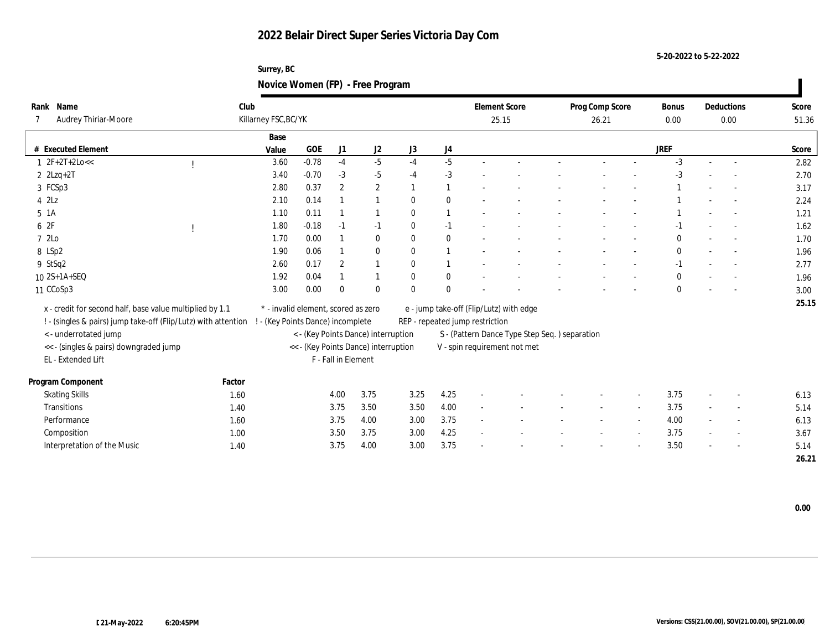**Surrey, BC Novice Women (FP) - Free Program**

| Rank Name                                                      | Club   |                                     |                                      |                     |              |              |                |                                 | <b>Element Score</b>                          | Prog Comp Score |        | Bonus        |        | Deductions               | Score |
|----------------------------------------------------------------|--------|-------------------------------------|--------------------------------------|---------------------|--------------|--------------|----------------|---------------------------------|-----------------------------------------------|-----------------|--------|--------------|--------|--------------------------|-------|
| Audrey Thiriar-Moore                                           |        | Killarney FSC, BC/YK                |                                      |                     |              |              |                |                                 | 25.15                                         | 26.21           |        | 0.00         |        | 0.00                     | 51.36 |
|                                                                |        | Base                                |                                      |                     |              |              |                |                                 |                                               |                 |        |              |        |                          |       |
| # Executed Element                                             |        | Value                               | GOE                                  | J <sub>1</sub>      | J2           | J3           | J4             |                                 |                                               |                 |        | <b>JREF</b>  |        |                          | Score |
| $1 \t2F+2T+2Loc<$                                              |        | 3.60                                | $-0.78$                              | $-4$                | $-5$         | $-4$         | $-5$           |                                 |                                               |                 |        | $-3$         | $\sim$ | $\overline{\phantom{a}}$ | 2.82  |
| $2$ $2Lzq+2T$                                                  |        | 3.40                                | $-0.70$                              | $-3$                | $-5$         | $-4$         | $-3$           |                                 |                                               |                 |        | $-3$         |        |                          | 2.70  |
| 3 FCSp3                                                        |        | 2.80                                | 0.37                                 | 2                   | $\mathbf{2}$ |              | $\overline{1}$ |                                 |                                               |                 |        |              |        |                          | 3.17  |
| $4$ $2Lz$                                                      |        | 2.10                                | 0.14                                 |                     |              | $\mathbf{0}$ | $\mathbf{0}$   |                                 |                                               |                 |        |              |        |                          | 2.24  |
| $5\;1A$                                                        |        | 1.10                                | 0.11                                 |                     |              | $\mathbf{0}$ | $\overline{1}$ |                                 |                                               |                 |        |              |        |                          | 1.21  |
| 6 2F                                                           |        | 1.80                                | $-0.18$                              | $-1$                | $-1$         | $\bf{0}$     | $-1$           |                                 |                                               |                 |        | $-1$         |        |                          | 1.62  |
| 7 2Lo                                                          |        | 1.70                                | 0.00                                 |                     | $\bf{0}$     | $\bf{0}$     | $\mathbf{0}$   |                                 |                                               |                 |        | $\mathbf{0}$ |        |                          | 1.70  |
| 8 LSp2                                                         |        | 1.90                                | 0.06                                 |                     | $\bf{0}$     | $\mathbf{0}$ | $\overline{1}$ |                                 |                                               |                 |        | $\bf{0}$     |        |                          | 1.96  |
| 9 StSq2                                                        |        | 2.60                                | 0.17                                 | 2                   |              | $\bf{0}$     | $\overline{1}$ |                                 |                                               |                 |        | $-1$         |        | $\overline{\phantom{a}}$ | 2.77  |
| 10 2S+1A+SEQ                                                   |        | 1.92                                | 0.04                                 |                     |              | $\mathbf{0}$ | $\mathbf{0}$   |                                 |                                               |                 |        | $\bf{0}$     |        |                          | 1.96  |
| 11 CCoSp3                                                      |        | 3.00                                | 0.00                                 | $\theta$            | $\mathbf{0}$ | $\mathbf{0}$ | $\mathbf{0}$   |                                 |                                               |                 |        | $\theta$     |        |                          | 3.00  |
| x - credit for second half, base value multiplied by 1.1       |        | * - invalid element, scored as zero |                                      |                     |              |              |                |                                 | e - jump take-off (Flip/Lutz) with edge       |                 |        |              |        |                          | 25.15 |
| ! - (singles & pairs) jump take-off (Flip/Lutz) with attention |        | ! - (Key Points Dance) incomplete   |                                      |                     |              |              |                | REP - repeated jump restriction |                                               |                 |        |              |        |                          |       |
| <- underrotated jump                                           |        |                                     | < - (Key Points Dance) interruption  |                     |              |              |                |                                 | S - (Pattern Dance Type Step Seq.) separation |                 |        |              |        |                          |       |
| << - (singles & pairs) downgraded jump                         |        |                                     | << - (Key Points Dance) interruption |                     |              |              |                |                                 | V - spin requirement not met                  |                 |        |              |        |                          |       |
| EL - Extended Lift                                             |        |                                     |                                      | F - Fall in Element |              |              |                |                                 |                                               |                 |        |              |        |                          |       |
|                                                                |        |                                     |                                      |                     |              |              |                |                                 |                                               |                 |        |              |        |                          |       |
| Program Component                                              | Factor |                                     |                                      |                     |              |              |                |                                 |                                               |                 |        |              |        |                          |       |
| <b>Skating Skills</b>                                          | 1.60   |                                     |                                      | 4.00                | 3.75         | 3.25         | 4.25           | $\overline{\phantom{a}}$        |                                               |                 |        | 3.75         | $\sim$ | $\overline{a}$           | 6.13  |
| Transitions                                                    | 1.40   |                                     |                                      | 3.75                | 3.50         | 3.50         | 4.00           | $\overline{\phantom{0}}$        |                                               |                 |        | 3.75         |        | $\sim$                   | 5.14  |
| Performance                                                    | 1.60   |                                     |                                      | 3.75                | 4.00         | 3.00         | 3.75           | $\sim$                          |                                               |                 | $\sim$ | 4.00         | $\sim$ | $\overline{\phantom{a}}$ | 6.13  |
| Composition                                                    | 1.00   |                                     |                                      | 3.50                | 3.75         | 3.00         | 4.25           | $\sim$                          |                                               |                 |        | 3.75         |        | $\overline{a}$           | 3.67  |
| Interpretation of the Music                                    | 1.40   |                                     |                                      | 3.75                | 4.00         | 3.00         | 3.75           |                                 |                                               |                 |        | 3.50         |        |                          | 5.14  |
|                                                                |        |                                     |                                      |                     |              |              |                |                                 |                                               |                 |        |              |        |                          | 26.21 |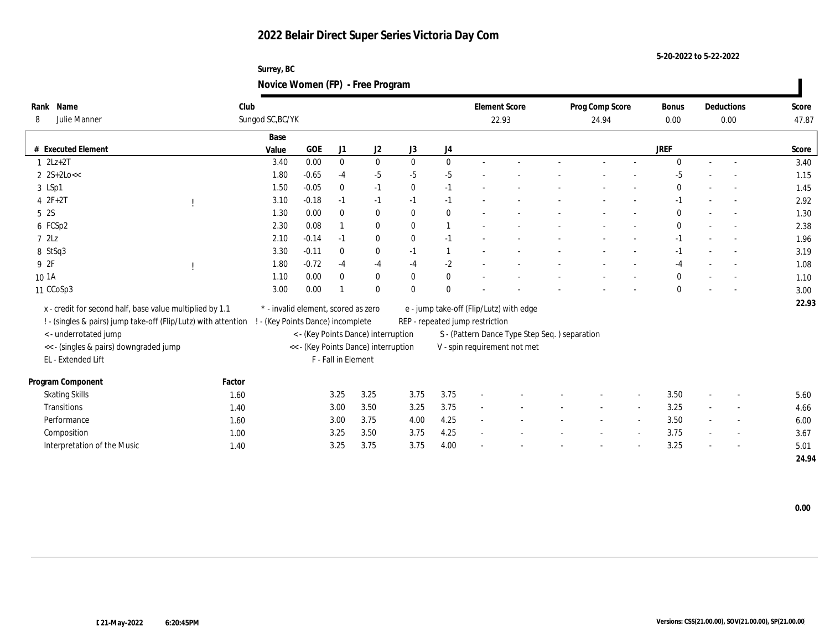**Surrey, BC Novice Women (FP) - Free Program**

| Rank Name                                                      | Club   |                                     |         |                     |                                      |              |                |                                 | <b>Element Score</b>                          | Prog Comp Score |        | Bonus        |                          | Deductions               | Score |
|----------------------------------------------------------------|--------|-------------------------------------|---------|---------------------|--------------------------------------|--------------|----------------|---------------------------------|-----------------------------------------------|-----------------|--------|--------------|--------------------------|--------------------------|-------|
| Julie Manner<br>8                                              |        | Sungod SC, BC/YK                    |         |                     |                                      |              |                |                                 | 22.93                                         | 24.94           |        | 0.00         |                          | 0.00                     | 47.87 |
|                                                                |        | Base                                |         |                     |                                      |              |                |                                 |                                               |                 |        |              |                          |                          |       |
| # Executed Element                                             |        | Value                               | GOE     | J1                  | J2                                   | J3           | J4             |                                 |                                               |                 |        | <b>JREF</b>  |                          |                          | Score |
| $1 \quad 2Lz+2T$                                               |        | 3.40                                | 0.00    | $\mathbf{0}$        | $\bf{0}$                             | $\mathbf{0}$ | $\mathbf{0}$   |                                 |                                               |                 |        | $\mathbf{0}$ | $\sim$                   | $\overline{\phantom{a}}$ | 3.40  |
| $2 \text{ } 2S+2Lo <<$                                         |        | 1.80                                | $-0.65$ | $-4$                | $-5$                                 | $-5$         | $-5$           |                                 |                                               |                 |        | -5           |                          |                          | 1.15  |
| 3 LSp1                                                         |        | 1.50                                | $-0.05$ | $\bf{0}$            | $-1$                                 | $\mathbf{0}$ | $-1$           |                                 |                                               |                 |        | $\mathbf{0}$ |                          |                          | 1.45  |
| $42F+2T$                                                       |        | 3.10                                | $-0.18$ | $-1$                | $-1$                                 | $-1$         | $-1$           |                                 |                                               |                 |        | $-1$         |                          |                          | 2.92  |
| 5 2S                                                           |        | 1.30                                | 0.00    | $\bf{0}$            | $\bf{0}$                             | $\mathbf{0}$ | $\mathbf{0}$   |                                 |                                               |                 |        | $\bf{0}$     |                          |                          | 1.30  |
| 6 FCSp2                                                        |        | 2.30                                | 0.08    |                     | $\bf{0}$                             | $\mathbf{0}$ | $\overline{1}$ |                                 |                                               |                 |        | $\bf{0}$     |                          |                          | 2.38  |
| 72Lz                                                           |        | 2.10                                | $-0.14$ | $-1$                | $\bf{0}$                             | $\bf{0}$     | $-1$           |                                 |                                               |                 |        | $-1$         |                          |                          | 1.96  |
| 8 StSq3                                                        |        | 3.30                                | $-0.11$ | $\mathbf{0}$        | $\bf{0}$                             | $-1$         | $\mathbf{1}$   |                                 |                                               |                 |        | $-1$         |                          |                          | 3.19  |
| 9 2F                                                           |        | 1.80                                | $-0.72$ | $-4$                | $-4$                                 | $-4$         | $-2$           |                                 |                                               |                 |        | $-4$         |                          | $\overline{\phantom{a}}$ | 1.08  |
| 10 1A                                                          |        | 1.10                                | 0.00    | $\bf{0}$            | $\bf{0}$                             | $\mathbf{0}$ | $\mathbf{0}$   |                                 |                                               |                 |        | $\bf{0}$     |                          |                          | 1.10  |
| 11 CCoSp3                                                      |        | 3.00                                | 0.00    |                     | $\theta$                             | $\mathbf{0}$ | $\mathbf{0}$   |                                 |                                               |                 |        | $\mathbf{0}$ |                          |                          | 3.00  |
| x - credit for second half, base value multiplied by 1.1       |        | * - invalid element, scored as zero |         |                     |                                      |              |                |                                 | e - jump take-off (Flip/Lutz) with edge       |                 |        |              |                          |                          | 22.93 |
| ! - (singles & pairs) jump take-off (Flip/Lutz) with attention |        | ! - (Key Points Dance) incomplete   |         |                     |                                      |              |                | REP - repeated jump restriction |                                               |                 |        |              |                          |                          |       |
| <- underrotated jump                                           |        |                                     |         |                     | < - (Key Points Dance) interruption  |              |                |                                 | S - (Pattern Dance Type Step Seq.) separation |                 |        |              |                          |                          |       |
| << - (singles & pairs) downgraded jump                         |        |                                     |         |                     | << - (Key Points Dance) interruption |              |                |                                 | V - spin requirement not met                  |                 |        |              |                          |                          |       |
| EL - Extended Lift                                             |        |                                     |         | F - Fall in Element |                                      |              |                |                                 |                                               |                 |        |              |                          |                          |       |
|                                                                |        |                                     |         |                     |                                      |              |                |                                 |                                               |                 |        |              |                          |                          |       |
| Program Component                                              | Factor |                                     |         |                     |                                      |              |                |                                 |                                               |                 |        |              |                          |                          |       |
| <b>Skating Skills</b>                                          | 1.60   |                                     |         | 3.25                | 3.25                                 | 3.75         | 3.75           | $\overline{\phantom{a}}$        |                                               |                 |        | 3.50         | $\overline{\phantom{a}}$ | $\overline{a}$           | 5.60  |
| Transitions                                                    | 1.40   |                                     |         | 3.00                | 3.50                                 | 3.25         | 3.75           | $\sim$                          |                                               |                 |        | 3.25         |                          | $\overline{\phantom{a}}$ | 4.66  |
| Performance                                                    | 1.60   |                                     |         | 3.00                | 3.75                                 | 4.00         | 4.25           | $\sim$                          |                                               |                 | $\sim$ | 3.50         | $\overline{\phantom{a}}$ | $\overline{\phantom{a}}$ | 6.00  |
| Composition                                                    | 1.00   |                                     |         | 3.25                | 3.50                                 | 3.75         | 4.25           | $\sim$                          |                                               |                 |        | 3.75         |                          | $\overline{a}$           | 3.67  |
| Interpretation of the Music                                    | 1.40   |                                     |         | 3.25                | 3.75                                 | 3.75         | 4.00           |                                 |                                               |                 |        | 3.25         |                          |                          | 5.01  |
|                                                                |        |                                     |         |                     |                                      |              |                |                                 |                                               |                 |        |              |                          |                          | 24.94 |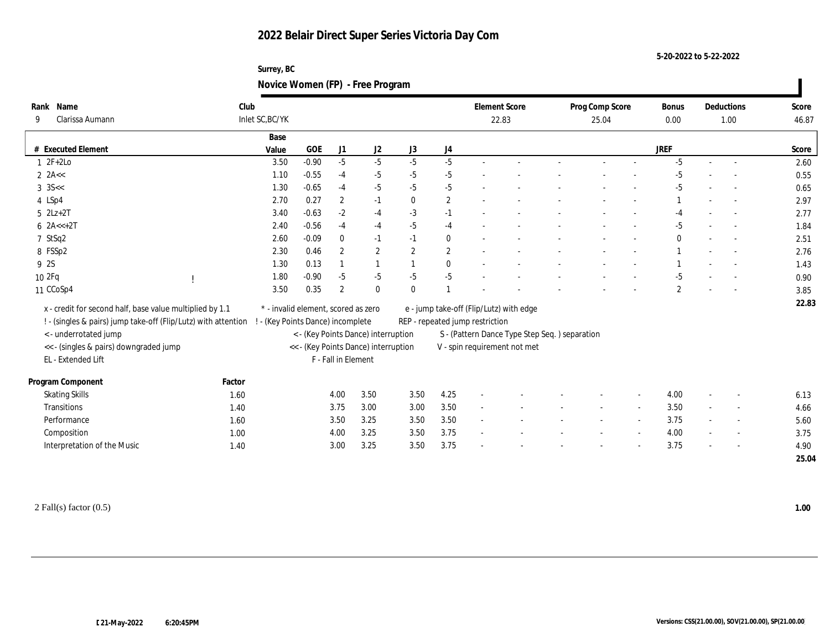**5-20-2022 to 5-22-2022**

| Surrey, BC                       |  |
|----------------------------------|--|
| Novice Women (FP) - Free Program |  |

| Rank Name                                                      | Club            |                                      |                     |                  |                |                  | <b>Element Score</b>                    |                                               | Prog Comp Score |        | <b>Bonus</b> |        | Deductions | Score |
|----------------------------------------------------------------|-----------------|--------------------------------------|---------------------|------------------|----------------|------------------|-----------------------------------------|-----------------------------------------------|-----------------|--------|--------------|--------|------------|-------|
| Clarissa Aumann<br>9                                           | Inlet SC, BC/YK |                                      |                     |                  |                |                  | 22.83                                   |                                               | 25.04           |        | 0.00         |        | 1.00       | 46.87 |
|                                                                | Base            |                                      |                     |                  |                |                  |                                         |                                               |                 |        |              |        |            |       |
| # Executed Element                                             | Value           | GOE                                  | J1                  | J2               | J3             | J4               |                                         |                                               |                 |        | <b>JREF</b>  |        |            | Score |
| $1 2F+2Lo$                                                     | 3.50            | $-0.90$                              | $-5$                | $-5$             | $-5$           | $-5$             |                                         |                                               |                 |        | $-5$         |        |            | 2.60  |
| $2$ 2A $<$                                                     | 1.10            | $-0.55$                              | $-4$                | $-5$             | $-5$           | $-5$             |                                         |                                               |                 |        | $-5$         |        |            | 0.55  |
| $3 \text{ } 35 < $                                             | 1.30            | $-0.65$                              | $-4$                | $-5$             | $-5$           | $-5$             |                                         |                                               |                 |        | $-5$         |        |            | 0.65  |
| 4 LSp4                                                         | 2.70            | 0.27                                 | $\boldsymbol{2}$    | $-1$             | $\mathbf{0}$   | $\boldsymbol{2}$ |                                         |                                               |                 |        |              |        |            | 2.97  |
| $5$ $2Lz+2T$                                                   | 3.40            | $-0.63$                              | $-2$                | $-4$             | $-3$           | $-1$             |                                         |                                               |                 |        | $-4$         |        |            | 2.77  |
| $6 \ \text{2A} \leq +2T$                                       | 2.40            | $-0.56$                              | $-4$                | $-4$             | $-5$           | $-4$             |                                         |                                               |                 |        | $-5$         |        |            | 1.84  |
| 7 StSq2                                                        | 2.60            | $-0.09$                              | $\mathbf{0}$        | $-1$             | $-1$           | $\bf{0}$         |                                         |                                               |                 |        | 0            |        |            | 2.51  |
| 8 FSSp2                                                        | 2.30            | 0.46                                 | $\mathbf{2}$        | $\boldsymbol{2}$ | $\overline{2}$ | $\overline{2}$   |                                         |                                               |                 |        |              |        |            | 2.76  |
| 9 2S                                                           | 1.30            | 0.13                                 |                     |                  |                | $\mathbf{0}$     |                                         |                                               |                 |        |              |        |            | 1.43  |
| 102Fq                                                          | 1.80            | $-0.90$                              | $-5$                | $-5$             | $-5$           | $-5$             |                                         |                                               |                 |        | $-5$         |        |            | 0.90  |
| 11 CCoSp4                                                      | 3.50            | 0.35                                 | $\overline{2}$      | $\bf{0}$         | $\mathbf{0}$   |                  |                                         |                                               |                 |        | $\mathbf{2}$ |        |            | 3.85  |
| x - credit for second half, base value multiplied by 1.1       |                 | * - invalid element, scored as zero  |                     |                  |                |                  | e - jump take-off (Flip/Lutz) with edge |                                               |                 |        |              |        |            | 22.83 |
| ! - (singles & pairs) jump take-off (Flip/Lutz) with attention |                 | - (Key Points Dance) incomplete      |                     |                  |                |                  | REP - repeated jump restriction         |                                               |                 |        |              |        |            |       |
| <- underrotated jump                                           |                 | < - (Key Points Dance) interruption  |                     |                  |                |                  |                                         | S - (Pattern Dance Type Step Seq.) separation |                 |        |              |        |            |       |
| << - (singles & pairs) downgraded jump                         |                 | << - (Key Points Dance) interruption |                     |                  |                |                  |                                         | V - spin requirement not met                  |                 |        |              |        |            |       |
| EL - Extended Lift                                             |                 |                                      | F - Fall in Element |                  |                |                  |                                         |                                               |                 |        |              |        |            |       |
|                                                                |                 |                                      |                     |                  |                |                  |                                         |                                               |                 |        |              |        |            |       |
| Program Component                                              | Factor          |                                      |                     |                  |                |                  |                                         |                                               |                 |        |              |        |            |       |
| <b>Skating Skills</b>                                          | 1.60            |                                      | 4.00                | 3.50             | 3.50           | 4.25             |                                         |                                               |                 |        | 4.00         |        |            | 6.13  |
| Transitions                                                    | 1.40            |                                      | 3.75                | 3.00             | 3.00           | 3.50             |                                         |                                               |                 |        | 3.50         | $\sim$ |            | 4.66  |
| Performance                                                    | 1.60            |                                      | 3.50                | 3.25             | 3.50           | 3.50             | $\sim$                                  |                                               |                 | $\sim$ | 3.75         | $\sim$ |            | 5.60  |
| Composition                                                    | 1.00            |                                      | 4.00                | 3.25             | 3.50           | 3.75             |                                         |                                               |                 |        | 4.00         |        |            | 3.75  |
| Interpretation of the Music                                    | 1.40            |                                      | 3.00                | 3.25             | 3.50           | 3.75             |                                         |                                               |                 |        | 3.75         |        |            | 4.90  |
|                                                                |                 |                                      |                     |                  |                |                  |                                         |                                               |                 |        |              |        |            | 25.04 |

2 Fall(s) factor (0.5) **1.00**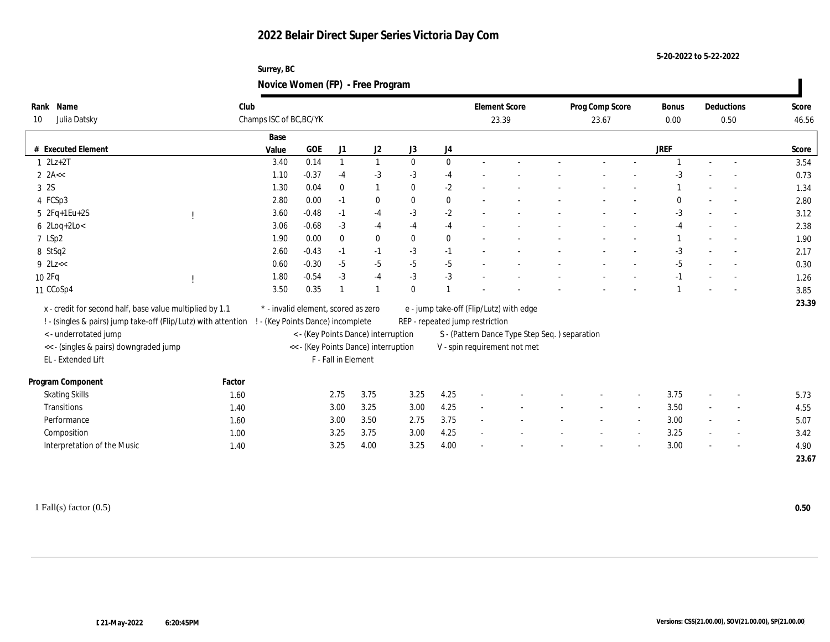**Surrey, BC Novice Women (FP) - Free Program**

| Rank Name<br>Julia Datsky<br>10                                                | Club<br>Champs ISC of BC, BC/YK                                          |                                     |                     |              |              |                                               | <b>Element Score</b><br>23.39           |  |  | Prog Comp Score<br>23.67 |  |             | Deductions<br>0.50       |                          | Score<br>46.56 |
|--------------------------------------------------------------------------------|--------------------------------------------------------------------------|-------------------------------------|---------------------|--------------|--------------|-----------------------------------------------|-----------------------------------------|--|--|--------------------------|--|-------------|--------------------------|--------------------------|----------------|
|                                                                                | Base                                                                     |                                     |                     |              |              |                                               |                                         |  |  |                          |  |             |                          |                          |                |
| # Executed Element                                                             | Value                                                                    | GOE                                 | J1                  | J2           | J3           | $_{\mathrm{J}4}$                              |                                         |  |  |                          |  | <b>JREF</b> |                          |                          | Score          |
| $1 \quad 2Lz+2T$                                                               | 3.40                                                                     | 0.14                                |                     | $\mathbf{1}$ | $\mathbf{0}$ | $\bf{0}$                                      |                                         |  |  |                          |  |             |                          |                          | 3.54           |
| 2 $2A <$                                                                       | 1.10                                                                     | $-0.37$                             | $-4$                | $-3$         | $-3$         | $-4$                                          |                                         |  |  |                          |  | -3          |                          |                          | 0.73           |
| 3 2S                                                                           | 1.30                                                                     | 0.04                                | $\bf{0}$            | 1            | $\mathbf{0}$ | $-2$                                          |                                         |  |  |                          |  |             |                          |                          | 1.34           |
| 4 FCSp3                                                                        | 2.80                                                                     | 0.00                                | $-1$                | $\bf{0}$     | $\mathbf{0}$ | $\bf{0}$                                      |                                         |  |  |                          |  | $\Omega$    |                          |                          | 2.80           |
| $5 \t2Fq+1Eu+2S$                                                               | 3.60                                                                     | $-0.48$                             | $-1$                | $-4$         | $-3$         | $-2$                                          |                                         |  |  |                          |  | $-3$        |                          |                          | 3.12           |
| $6$ 2Loq+2Lo<                                                                  | 3.06                                                                     | $-0.68$                             | $-3$                | $-4$         | $-4$         | $-4$                                          |                                         |  |  |                          |  | $-4$        |                          |                          | 2.38           |
| 7 LSp2                                                                         | 1.90                                                                     | 0.00                                | $\mathbf{0}$        | $\bf{0}$     | $\mathbf{0}$ | $\bf{0}$                                      |                                         |  |  |                          |  |             |                          |                          | 1.90           |
| 8 StSq2                                                                        | 2.60                                                                     | $-0.43$                             | $-1$                | $-1$         | $-3$         | $-1$                                          |                                         |  |  |                          |  | $-3$        |                          |                          | 2.17           |
| $9$ $2$ Lz< $<$                                                                | 0.60                                                                     | $-0.30$                             | $-5$                | $-5$         | $-5$         | $-5$                                          |                                         |  |  |                          |  | $-5$        |                          |                          | 0.30           |
| 10 2Fq                                                                         | 1.80                                                                     | $-0.54$                             | $-3$                | $-4$         | $-3$         | $-3$                                          |                                         |  |  |                          |  |             |                          |                          | 1.26           |
| 11 CCoSp4                                                                      | 3.50                                                                     | 0.35                                |                     |              | $\mathbf{0}$ |                                               |                                         |  |  |                          |  |             |                          |                          | 3.85           |
| x - credit for second half, base value multiplied by 1.1                       |                                                                          | * - invalid element, scored as zero |                     |              |              |                                               | e - jump take-off (Flip/Lutz) with edge |  |  |                          |  |             |                          |                          | 23.39          |
| ! - (singles & pairs) jump take-off (Flip/Lutz) with attention                 |                                                                          |                                     |                     |              |              |                                               | REP - repeated jump restriction         |  |  |                          |  |             |                          |                          |                |
| <- underrotated jump                                                           | ! - (Key Points Dance) incomplete<br>< - (Key Points Dance) interruption |                                     |                     |              |              | S - (Pattern Dance Type Step Seq.) separation |                                         |  |  |                          |  |             |                          |                          |                |
| << - (singles & pairs) downgraded jump<br><< - (Key Points Dance) interruption |                                                                          |                                     |                     |              |              | V - spin requirement not met                  |                                         |  |  |                          |  |             |                          |                          |                |
| EL - Extended Lift                                                             |                                                                          |                                     | F - Fall in Element |              |              |                                               |                                         |  |  |                          |  |             |                          |                          |                |
|                                                                                |                                                                          |                                     |                     |              |              |                                               |                                         |  |  |                          |  |             |                          |                          |                |
| Program Component                                                              | Factor                                                                   |                                     |                     |              |              |                                               |                                         |  |  |                          |  |             |                          |                          |                |
| <b>Skating Skills</b>                                                          | 1.60                                                                     |                                     | 2.75                | 3.75         | 3.25         | 4.25                                          |                                         |  |  |                          |  | 3.75        | $\sim$                   |                          | 5.73           |
| Transitions                                                                    | 1.40                                                                     |                                     | 3.00                | 3.25         | 3.00         | 4.25                                          |                                         |  |  |                          |  | 3.50        |                          |                          | 4.55           |
| Performance                                                                    | 1.60                                                                     |                                     | 3.00                | 3.50         | 2.75         | 3.75                                          |                                         |  |  |                          |  | 3.00        | $\sim$                   | $\overline{\phantom{a}}$ | 5.07           |
| Composition                                                                    | 1.00                                                                     |                                     | 3.25                | 3.75         | 3.00         | 4.25                                          |                                         |  |  |                          |  | 3.25        | $\overline{\phantom{a}}$ |                          | 3.42           |
| Interpretation of the Music                                                    | 1.40                                                                     |                                     | 3.25                | 4.00         | 3.25         | 4.00                                          |                                         |  |  |                          |  | 3.00        |                          |                          | 4.90           |
|                                                                                |                                                                          |                                     |                     |              |              |                                               |                                         |  |  |                          |  |             |                          |                          | 23.67          |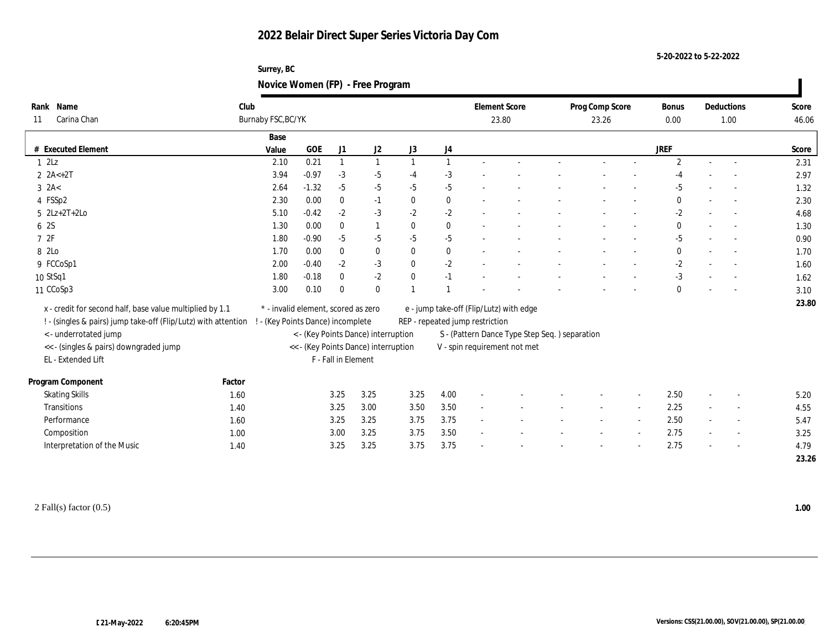**Surrey, BC Novice Women (FP) - Free Program**

| Rank Name                                                      | Club                              |                                                             |              |                                     |                |                                                                            | <b>Element Score</b>         |       |  | Prog Comp Score |  | <b>Bonus</b>   |        | Deductions               | Score |  |
|----------------------------------------------------------------|-----------------------------------|-------------------------------------------------------------|--------------|-------------------------------------|----------------|----------------------------------------------------------------------------|------------------------------|-------|--|-----------------|--|----------------|--------|--------------------------|-------|--|
| Carina Chan<br>11                                              | Burnaby FSC, BC/YK                |                                                             |              |                                     |                |                                                                            |                              | 23.80 |  | 23.26           |  | 0.00           |        | 1.00                     | 46.06 |  |
|                                                                | Base                              |                                                             |              |                                     |                |                                                                            |                              |       |  |                 |  |                |        |                          |       |  |
| # Executed Element                                             | Value                             | <b>GOE</b>                                                  | J1           | $\mathrm{J}2$                       | J3             | $_{\mathrm{J}4}$                                                           |                              |       |  |                 |  | <b>JREF</b>    |        |                          | Score |  |
| 1 2Lz                                                          | 2.10                              | 0.21                                                        |              | $\overline{1}$                      | $\overline{1}$ | $\mathbf{1}$                                                               |                              |       |  |                 |  | $\overline{2}$ | $\sim$ | $\overline{\phantom{a}}$ | 2.31  |  |
| $2 \text{ } 2A < +2T$                                          | 3.94                              | $-0.97$                                                     | $-3$         | $-5$                                | $-4$           | $-3$                                                                       |                              |       |  |                 |  | -4             |        |                          | 2.97  |  |
| $3$ $2A<$                                                      | 2.64                              | $-1.32$                                                     | $-5$         | $-5$                                | $-5$           | $-5$                                                                       |                              |       |  |                 |  | $-5$           |        |                          | 1.32  |  |
| 4 FSSp2                                                        | 2.30                              | 0.00                                                        | $\mathbf{0}$ | $-1$                                | $\mathbf{0}$   | $\bf{0}$                                                                   |                              |       |  |                 |  | $\mathbf{0}$   |        |                          | 2.30  |  |
| $5$ $2Lz+2T+2Lo$                                               | 5.10                              | $-0.42$                                                     | $-2$         | $-3$                                | $-2$           | $-2$                                                                       |                              |       |  |                 |  | $-2$           |        |                          | 4.68  |  |
| 6 2S                                                           | 1.30                              | 0.00                                                        | $\mathbf{0}$ |                                     | $\mathbf{0}$   | $\bf{0}$                                                                   |                              |       |  |                 |  | $\mathbf{0}$   |        |                          | 1.30  |  |
| 72F                                                            | 1.80                              | $-0.90$                                                     | $-5$         | $-5$                                | $-5$           | $-5$                                                                       |                              |       |  |                 |  | $-5$           |        |                          | 0.90  |  |
| 8 2Lo                                                          | 1.70                              | 0.00                                                        | $\mathbf{0}$ | $\bf{0}$                            | $\mathbf{0}$   | $\bf{0}$                                                                   |                              |       |  |                 |  | $\mathbf{0}$   |        |                          | 1.70  |  |
| 9 FCCoSp1                                                      | 2.00                              | $-0.40$                                                     | $-2$         | $-3$                                | $\mathbf{0}$   | $-2$                                                                       |                              |       |  |                 |  | $-2$           |        |                          | 1.60  |  |
| 10 StSq1                                                       | 1.80                              | $-0.18$                                                     | $\mathbf{0}$ | $-2$                                | $\mathbf{0}$   | $-1$                                                                       |                              |       |  |                 |  | $-3$           |        |                          | 1.62  |  |
| 11 CCoSp3                                                      | 3.00                              | 0.10                                                        | $\Omega$     | $\bf{0}$                            |                |                                                                            |                              |       |  |                 |  | $\mathbf{0}$   |        |                          | 3.10  |  |
| x - credit for second half, base value multiplied by 1.1       |                                   | * - invalid element, scored as zero                         |              |                                     |                |                                                                            |                              |       |  |                 |  |                |        |                          | 23.80 |  |
| ! - (singles & pairs) jump take-off (Flip/Lutz) with attention | ! - (Key Points Dance) incomplete |                                                             |              |                                     |                | e - jump take-off (Flip/Lutz) with edge<br>REP - repeated jump restriction |                              |       |  |                 |  |                |        |                          |       |  |
| <- underrotated jump                                           |                                   |                                                             |              | < - (Key Points Dance) interruption |                | S - (Pattern Dance Type Step Seq.) separation                              |                              |       |  |                 |  |                |        |                          |       |  |
| << - (singles & pairs) downgraded jump                         |                                   |                                                             |              |                                     |                |                                                                            | V - spin requirement not met |       |  |                 |  |                |        |                          |       |  |
| EL - Extended Lift                                             |                                   | << - (Key Points Dance) interruption<br>F - Fall in Element |              |                                     |                |                                                                            |                              |       |  |                 |  |                |        |                          |       |  |
|                                                                |                                   |                                                             |              |                                     |                |                                                                            |                              |       |  |                 |  |                |        |                          |       |  |
| Program Component<br>Factor                                    |                                   |                                                             |              |                                     |                |                                                                            |                              |       |  |                 |  |                |        |                          |       |  |
| <b>Skating Skills</b><br>1.60                                  |                                   |                                                             | 3.25         | 3.25                                | 3.25           | 4.00                                                                       |                              |       |  |                 |  | 2.50           | $\sim$ |                          | 5.20  |  |
| Transitions                                                    | 1.40                              |                                                             | 3.25         | 3.00                                | 3.50           | $3.50\,$                                                                   |                              |       |  |                 |  | 2.25           |        |                          | 4.55  |  |
| Performance                                                    | 1.60                              |                                                             | 3.25         | 3.25                                | 3.75           | 3.75                                                                       |                              |       |  |                 |  | 2.50           | $\sim$ |                          | 5.47  |  |
| Composition                                                    | 1.00                              |                                                             | 3.00         | 3.25                                | 3.75           | 3.50                                                                       |                              |       |  |                 |  | 2.75           |        | $\sim$                   | 3.25  |  |
| Interpretation of the Music                                    | 1.40                              |                                                             | 3.25         | 3.25                                | 3.75           | 3.75                                                                       |                              |       |  |                 |  | 2.75           |        |                          | 4.79  |  |
|                                                                |                                   |                                                             |              |                                     |                |                                                                            |                              |       |  |                 |  |                |        |                          | 23.26 |  |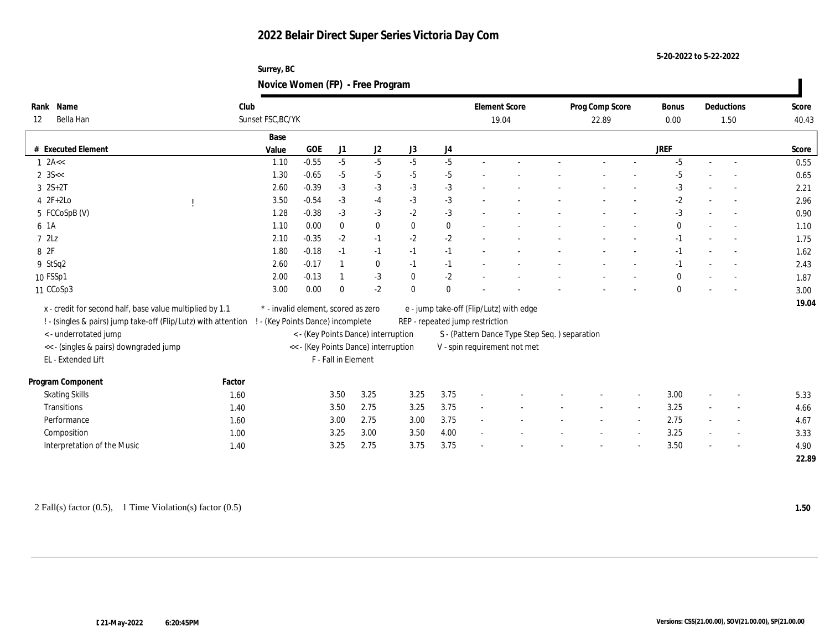**5-20-2022 to 5-22-2022**

| Surrey, BC                       |  |
|----------------------------------|--|
| Novice Women (FP) - Free Program |  |

| Rank Name<br>Bella Han<br>12                                                   | Club<br>Sunset FSC, BC/YK |                                     |                     |              |              |                | <b>Element Score</b>            | 19.04                                          | Prog Comp Score<br>22.89 |        |              | Deductions<br>1.50 |  | Score<br>40.43 |
|--------------------------------------------------------------------------------|---------------------------|-------------------------------------|---------------------|--------------|--------------|----------------|---------------------------------|------------------------------------------------|--------------------------|--------|--------------|--------------------|--|----------------|
|                                                                                | Base                      |                                     |                     |              |              |                |                                 |                                                |                          |        |              |                    |  |                |
| # Executed Element                                                             | Value                     | GOE                                 | J1                  | J2           | J3           | J <sub>4</sub> |                                 |                                                |                          |        | <b>JREF</b>  |                    |  | Score          |
| $1$ 2A <<                                                                      | 1.10                      | $-0.55$                             | $-5$                | $-5$         | $-5$         | $-5$           |                                 |                                                |                          |        | $-5$         |                    |  | 0.55           |
| $2 \, 35 <$                                                                    | 1.30                      | $-0.65$                             | $-5$                | $-5$         | $-5$         | $-5$           |                                 |                                                |                          |        | $-5$         |                    |  | 0.65           |
| $3 \t2S+2T$                                                                    | 2.60                      | $-0.39$                             | $-3$                | $-3$         | $-3$         | $-3$           |                                 |                                                |                          |        | $-3$         |                    |  | 2.21           |
| $4 2F+2Lo$                                                                     | 3.50                      | $-0.54$                             | $-3$                | $-4$         | $-3$         | $-3$           |                                 |                                                |                          |        | $-2$         |                    |  | 2.96           |
| 5 FCCoSpB (V)                                                                  | 1.28                      | $-0.38$                             | $-3$                | $-3$         | $-2$         | $-3$           |                                 |                                                |                          |        | $-3$         |                    |  | 0.90           |
| 6 1A                                                                           | 1.10                      | 0.00                                | $\bf{0}$            | $\bf{0}$     | $\mathbf{0}$ | $\bf{0}$       |                                 |                                                |                          |        | $\mathbf{0}$ |                    |  | 1.10           |
| 72Lz                                                                           | 2.10                      | $-0.35$                             | $-2$                | $-1$         | $-2$         | $-2$           |                                 |                                                |                          |        | $-1$         |                    |  | 1.75           |
| 8 2F                                                                           | 1.80                      | $-0.18$                             | $-1$                | $-1$         | $-1$         | $-1$           |                                 |                                                |                          |        | $-1$         |                    |  | 1.62           |
| 9 StSq2                                                                        | 2.60                      | $-0.17$                             |                     | $\mathbf{0}$ | $-1$         | $-1$           |                                 |                                                |                          |        | $-1$         |                    |  | 2.43           |
| 10 FSSp1                                                                       | 2.00                      | $-0.13$                             |                     | $-3$         | $\mathbf{0}$ | $-2$           |                                 |                                                |                          |        | 0            |                    |  | 1.87           |
| 11 CCoSp3                                                                      | 3.00                      | 0.00                                | $\Omega$            | $-2$         | $\theta$     | $\mathbf{0}$   |                                 |                                                |                          |        | 0            |                    |  | 3.00           |
| x - credit for second half, base value multiplied by 1.1                       |                           | * - invalid element, scored as zero |                     |              |              |                |                                 | e - jump take-off (Flip/Lutz) with edge        |                          |        |              |                    |  | 19.04          |
| ! - (singles & pairs) jump take-off (Flip/Lutz) with attention                 |                           | ! - (Key Points Dance) incomplete   |                     |              |              |                | REP - repeated jump restriction |                                                |                          |        |              |                    |  |                |
| < - underrotated jump<br>< - (Key Points Dance) interruption                   |                           |                                     |                     |              |              |                |                                 | S - (Pattern Dance Type Step Seq. ) separation |                          |        |              |                    |  |                |
| << - (singles & pairs) downgraded jump<br><< - (Key Points Dance) interruption |                           |                                     |                     |              |              |                |                                 | V - spin requirement not met                   |                          |        |              |                    |  |                |
| EL - Extended Lift                                                             |                           |                                     | F - Fall in Element |              |              |                |                                 |                                                |                          |        |              |                    |  |                |
| Program Component                                                              | Factor                    |                                     |                     |              |              |                |                                 |                                                |                          |        |              |                    |  |                |
| <b>Skating Skills</b>                                                          | 1.60                      |                                     | 3.50                | 3.25         | 3.25         | 3.75           |                                 |                                                |                          | $\sim$ | 3.00         | $\sim$             |  | 5.33           |
| Transitions                                                                    | 1.40                      |                                     | 3.50                | 2.75         | 3.25         | 3.75           |                                 |                                                |                          |        | 3.25         | $\sim$             |  | 4.66           |
| Performance                                                                    | 1.60                      |                                     | 3.00                | 2.75         | 3.00         | 3.75           |                                 |                                                |                          | $\sim$ | 2.75         | $\sim$             |  | 4.67           |
| Composition                                                                    | 1.00                      |                                     | 3.25                | 3.00         | 3.50         | 4.00           |                                 |                                                |                          | $\sim$ | 3.25         | $\sim$             |  | 3.33           |
| Interpretation of the Music                                                    | 1.40                      |                                     | 3.25                | 2.75         | 3.75         | 3.75           |                                 |                                                |                          |        | 3.50         |                    |  | 4.90           |
|                                                                                |                           |                                     |                     |              |              |                |                                 |                                                |                          |        |              |                    |  |                |

2 Fall(s) factor (0.5), 1 Time Violation(s) factor (0.5) **1.50**